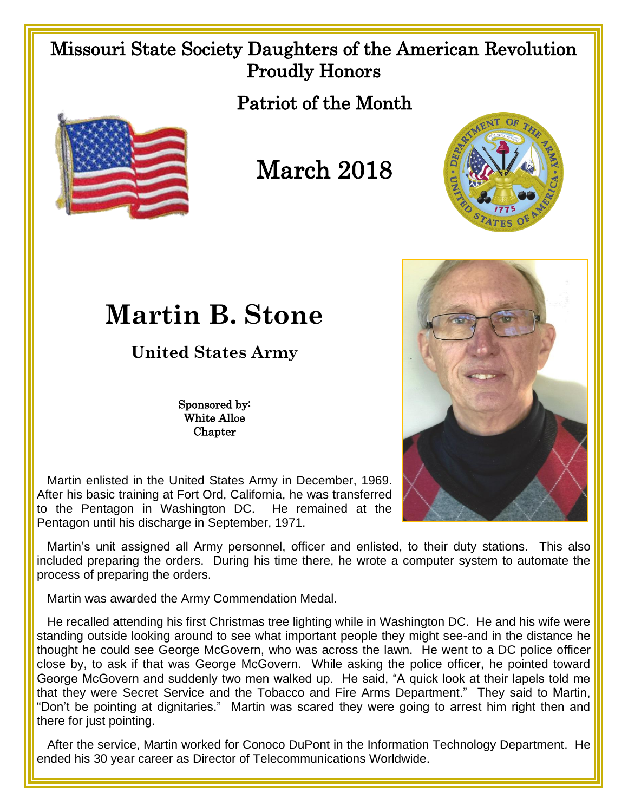## Missouri State Society Daughters of the American Revolution Proudly Honors

Patriot of the Month



March 2018



## **Martin B. Stone**

**United States Army**

Sponsored by: White Alloe **Chapter** 



 Martin enlisted in the United States Army in December, 1969. After his basic training at Fort Ord, California, he was transferred to the Pentagon in Washington DC. He remained at the Pentagon until his discharge in September, 1971.

 Martin's unit assigned all Army personnel, officer and enlisted, to their duty stations. This also included preparing the orders. During his time there, he wrote a computer system to automate the process of preparing the orders.

Martin was awarded the Army Commendation Medal.

 He recalled attending his first Christmas tree lighting while in Washington DC. He and his wife were standing outside looking around to see what important people they might see-and in the distance he thought he could see George McGovern, who was across the lawn. He went to a DC police officer close by, to ask if that was George McGovern. While asking the police officer, he pointed toward George McGovern and suddenly two men walked up. He said, "A quick look at their lapels told me that they were Secret Service and the Tobacco and Fire Arms Department." They said to Martin, "Don't be pointing at dignitaries." Martin was scared they were going to arrest him right then and there for just pointing.

After the service, Martin worked for Conoco DuPont in the Information Technology Department. He ended his 30 year career as Director of Telecommunications Worldwide.